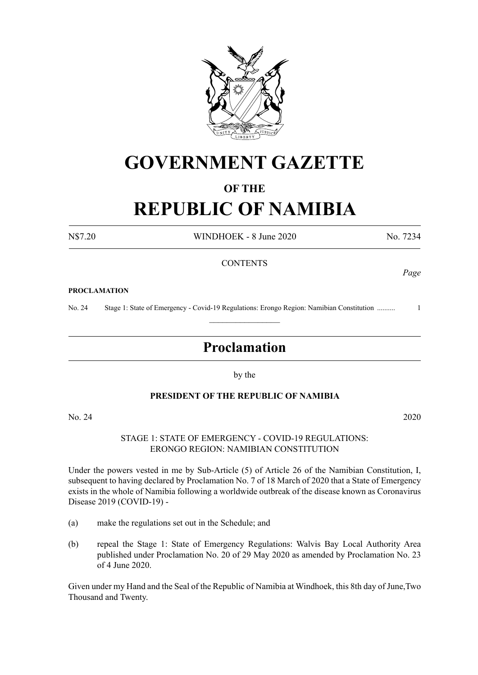

## **GOVERNMENT GAZETTE**

## **OF THE**

# **REPUBLIC OF NAMIBIA**

N\$7.20 WINDHOEK - 8 June 2020 No. 7234

*Page*

## **CONTENTS**

#### **PROCLAMATION**

No. 24 Stage 1: State of Emergency - Covid-19 Regulations: Erongo Region: Namibian Constitution .......... 1  $\frac{1}{2}$ 

## **Proclamation**

by the

## **PRESIDENT OF THE REPUBLIC OF NAMIBIA**

No. 24 2020

STAGE 1: STATE OF EMERGENCY - COVID-19 REGULATIONS: ERONGO REGION: NAMIBIAN CONSTITUTION

Under the powers vested in me by Sub-Article (5) of Article 26 of the Namibian Constitution, I, subsequent to having declared by Proclamation No. 7 of 18 March of 2020 that a State of Emergency exists in the whole of Namibia following a worldwide outbreak of the disease known as Coronavirus Disease 2019 (COVID-19) -

- (a) make the regulations set out in the Schedule; and
- (b) repeal the Stage 1: State of Emergency Regulations: Walvis Bay Local Authority Area published under Proclamation No. 20 of 29 May 2020 as amended by Proclamation No. 23 of 4 June 2020.

Given under my Hand and the Seal of the Republic of Namibia at Windhoek, this 8th day of June,Two Thousand and Twenty.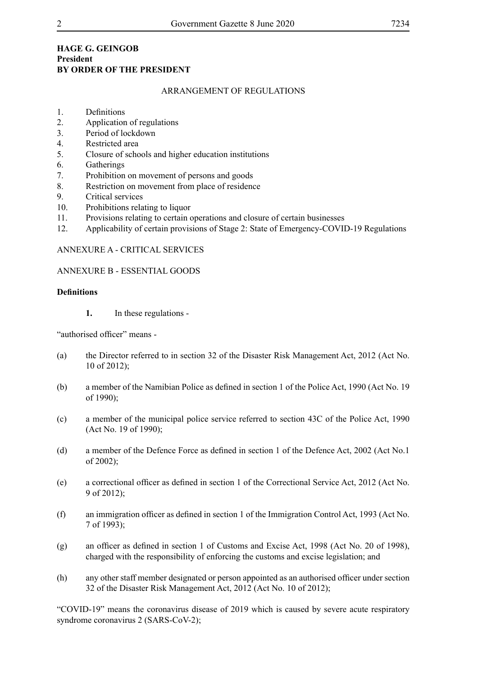## **HAGE G. GEINGOB President BY ORDER OF THE PRESIDENT**

## ARRANGEMENT OF REGULATIONS

- 1. Definitions
- 2. Application of regulations
- 3. Period of lockdown
- 4. Restricted area
- 5. Closure of schools and higher education institutions
- 6. Gatherings
- 7. Prohibition on movement of persons and goods
- 8. Restriction on movement from place of residence
- 9. Critical services
- 10. Prohibitions relating to liquor
- 11. Provisions relating to certain operations and closure of certain businesses
- 12. Applicability of certain provisions of Stage 2: State of Emergency-COVID-19 Regulations

## ANNEXURE A - CRITICAL SERVICES

## ANNEXURE B - ESSENTIAL GOODS

## **Definitions**

**1.** In these regulations -

"authorised officer" means -

- (a) the Director referred to in section 32 of the Disaster Risk Management Act, 2012 (Act No. 10 of 2012);
- (b) a member of the Namibian Police as defined in section 1 of the Police Act, 1990 (Act No. 19 of 1990);
- (c) a member of the municipal police service referred to section 43C of the Police Act, 1990 (Act No. 19 of 1990);
- (d) a member of the Defence Force as defined in section 1 of the Defence Act, 2002 (Act No.1 of 2002);
- (e) a correctional officer as defined in section 1 of the Correctional Service Act, 2012 (Act No. 9 of 2012);
- (f) an immigration officer as defined in section 1 of the Immigration Control Act, 1993 (Act No. 7 of 1993);
- (g) an officer as defined in section 1 of Customs and Excise Act, 1998 (Act No. 20 of 1998), charged with the responsibility of enforcing the customs and excise legislation; and
- (h) any other staff member designated or person appointed as an authorised officer under section 32 of the Disaster Risk Management Act, 2012 (Act No. 10 of 2012);

"COVID-19" means the coronavirus disease of 2019 which is caused by severe acute respiratory syndrome coronavirus 2 (SARS-CoV-2);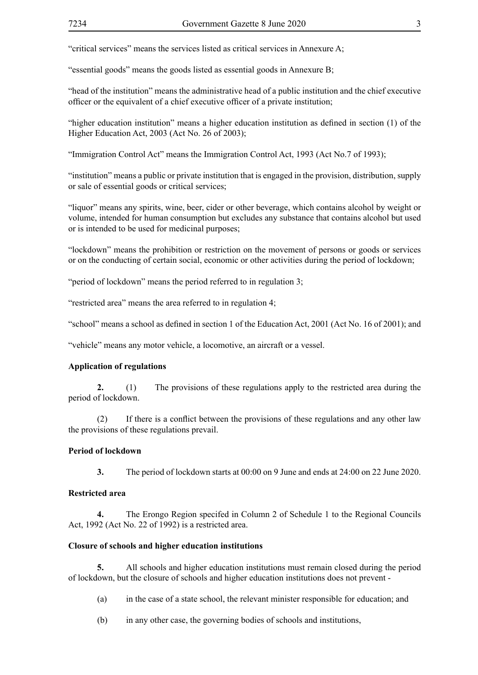"critical services" means the services listed as critical services in Annexure A;

"essential goods" means the goods listed as essential goods in Annexure B;

"head of the institution" means the administrative head of a public institution and the chief executive officer or the equivalent of a chief executive officer of a private institution;

"higher education institution" means a higher education institution as defined in section (1) of the Higher Education Act, 2003 (Act No. 26 of 2003);

"Immigration Control Act" means the Immigration Control Act, 1993 (Act No.7 of 1993);

"institution" means a public or private institution that is engaged in the provision, distribution, supply or sale of essential goods or critical services;

"liquor" means any spirits, wine, beer, cider or other beverage, which contains alcohol by weight or volume, intended for human consumption but excludes any substance that contains alcohol but used or is intended to be used for medicinal purposes;

"lockdown" means the prohibition or restriction on the movement of persons or goods or services or on the conducting of certain social, economic or other activities during the period of lockdown;

"period of lockdown" means the period referred to in regulation 3;

"restricted area" means the area referred to in regulation 4;

"school" means a school as defined in section 1 of the Education Act, 2001 (Act No. 16 of 2001); and

"vehicle" means any motor vehicle, a locomotive, an aircraft or a vessel.

#### **Application of regulations**

**2.** (1) The provisions of these regulations apply to the restricted area during the period of lockdown.

(2) If there is a conflict between the provisions of these regulations and any other law the provisions of these regulations prevail.

## **Period of lockdown**

**3.** The period of lockdown starts at 00:00 on 9 June and ends at 24:00 on 22 June 2020.

#### **Restricted area**

**4.** The Erongo Region specifed in Column 2 of Schedule 1 to the Regional Councils Act, 1992 (Act No. 22 of 1992) is a restricted area.

#### **Closure of schools and higher education institutions**

**5.** All schools and higher education institutions must remain closed during the period of lockdown, but the closure of schools and higher education institutions does not prevent -

(a) in the case of a state school, the relevant minister responsible for education; and

(b) in any other case, the governing bodies of schools and institutions,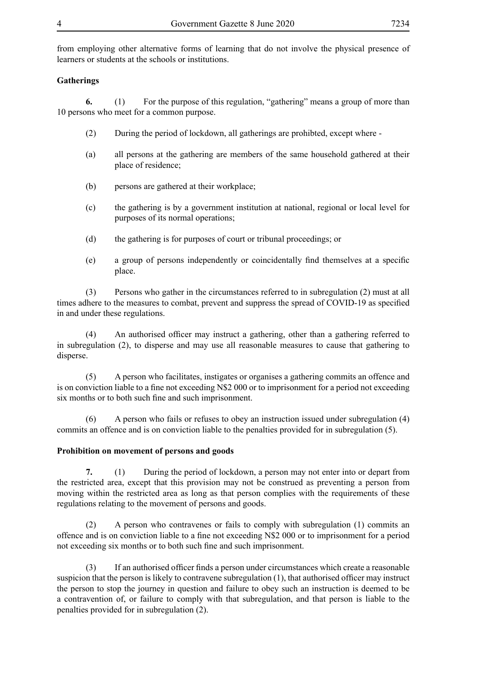from employing other alternative forms of learning that do not involve the physical presence of learners or students at the schools or institutions.

## **Gatherings**

**6.** (1) For the purpose of this regulation, "gathering" means a group of more than 10 persons who meet for a common purpose.

- (2) During the period of lockdown, all gatherings are prohibted, except where -
- (a) all persons at the gathering are members of the same household gathered at their place of residence;
- (b) persons are gathered at their workplace;
- (c) the gathering is by a government institution at national, regional or local level for purposes of its normal operations;
- (d) the gathering is for purposes of court or tribunal proceedings; or
- (e) a group of persons independently or coincidentally find themselves at a specific place.

(3) Persons who gather in the circumstances referred to in subregulation (2) must at all times adhere to the measures to combat, prevent and suppress the spread of COVID-19 as specified in and under these regulations.

(4) An authorised officer may instruct a gathering, other than a gathering referred to in subregulation (2), to disperse and may use all reasonable measures to cause that gathering to disperse.

(5) A person who facilitates, instigates or organises a gathering commits an offence and is on conviction liable to a fine not exceeding N\$2 000 or to imprisonment for a period not exceeding six months or to both such fine and such imprisonment.

(6) A person who fails or refuses to obey an instruction issued under subregulation (4) commits an offence and is on conviction liable to the penalties provided for in subregulation (5).

## **Prohibition on movement of persons and goods**

**7.** (1) During the period of lockdown, a person may not enter into or depart from the restricted area, except that this provision may not be construed as preventing a person from moving within the restricted area as long as that person complies with the requirements of these regulations relating to the movement of persons and goods.

(2) A person who contravenes or fails to comply with subregulation (1) commits an offence and is on conviction liable to a fine not exceeding N\$2 000 or to imprisonment for a period not exceeding six months or to both such fine and such imprisonment.

(3) If an authorised officer finds a person under circumstances which create a reasonable suspicion that the person is likely to contravene subregulation (1), that authorised officer may instruct the person to stop the journey in question and failure to obey such an instruction is deemed to be a contravention of, or failure to comply with that subregulation, and that person is liable to the penalties provided for in subregulation (2).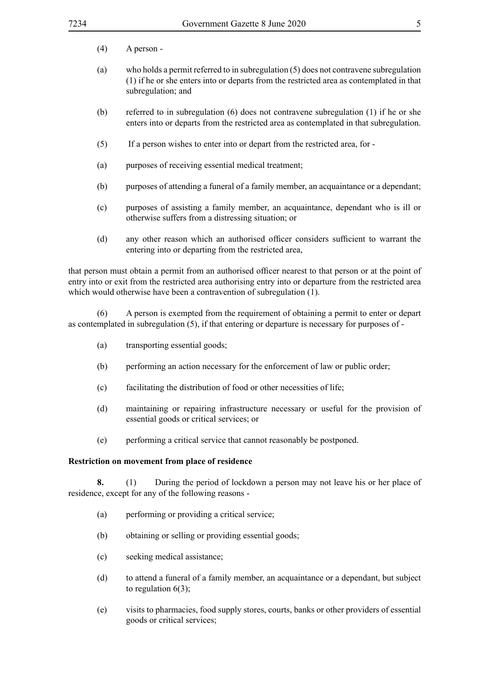- (4) A person -
- (a) who holds a permit referred to in subregulation (5) does not contravene subregulation (1) if he or she enters into or departs from the restricted area as contemplated in that subregulation; and
- (b) referred to in subregulation (6) does not contravene subregulation (1) if he or she enters into or departs from the restricted area as contemplated in that subregulation.
- (5) If a person wishes to enter into or depart from the restricted area, for -
- (a) purposes of receiving essential medical treatment;
- (b) purposes of attending a funeral of a family member, an acquaintance or a dependant;
- (c) purposes of assisting a family member, an acquaintance, dependant who is ill or otherwise suffers from a distressing situation; or
- (d) any other reason which an authorised officer considers sufficient to warrant the entering into or departing from the restricted area,

that person must obtain a permit from an authorised officer nearest to that person or at the point of entry into or exit from the restricted area authorising entry into or departure from the restricted area which would otherwise have been a contravention of subregulation  $(1)$ .

(6) A person is exempted from the requirement of obtaining a permit to enter or depart as contemplated in subregulation (5), if that entering or departure is necessary for purposes of -

- (a) transporting essential goods;
- (b) performing an action necessary for the enforcement of law or public order;
- (c) facilitating the distribution of food or other necessities of life;
- (d) maintaining or repairing infrastructure necessary or useful for the provision of essential goods or critical services; or
- (e) performing a critical service that cannot reasonably be postponed.

#### **Restriction on movement from place of residence**

**8.** (1) During the period of lockdown a person may not leave his or her place of residence, except for any of the following reasons -

- (a) performing or providing a critical service;
- (b) obtaining or selling or providing essential goods;
- (c) seeking medical assistance;
- (d) to attend a funeral of a family member, an acquaintance or a dependant, but subject to regulation  $6(3)$ ;
- (e) visits to pharmacies, food supply stores, courts, banks or other providers of essential goods or critical services;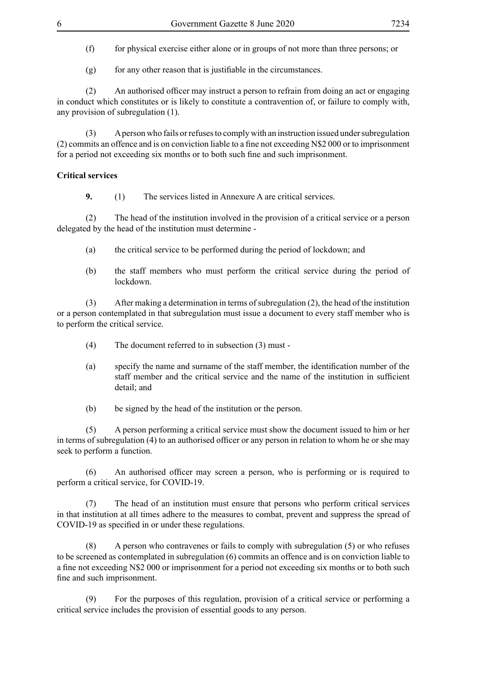(f) for physical exercise either alone or in groups of not more than three persons; or

 $(g)$  for any other reason that is justifiable in the circumstances.

(2) An authorised officer may instruct a person to refrain from doing an act or engaging in conduct which constitutes or is likely to constitute a contravention of, or failure to comply with, any provision of subregulation (1).

(3) A person who fails or refuses to comply with an instruction issued under subregulation (2) commits an offence and is on conviction liable to a fine not exceeding N\$2 000 or to imprisonment for a period not exceeding six months or to both such fine and such imprisonment.

## **Critical services**

**9.** (1) The services listed in Annexure A are critical services.

(2) The head of the institution involved in the provision of a critical service or a person delegated by the head of the institution must determine -

- (a) the critical service to be performed during the period of lockdown; and
- (b) the staff members who must perform the critical service during the period of lockdown.

(3) After making a determination in terms of subregulation (2), the head of the institution or a person contemplated in that subregulation must issue a document to every staff member who is to perform the critical service.

- (4) The document referred to in subsection (3) must -
- (a) specify the name and surname of the staff member, the identification number of the staff member and the critical service and the name of the institution in sufficient detail; and
- (b) be signed by the head of the institution or the person.

(5) A person performing a critical service must show the document issued to him or her in terms of subregulation (4) to an authorised officer or any person in relation to whom he or she may seek to perform a function.

(6) An authorised officer may screen a person, who is performing or is required to perform a critical service, for COVID-19.

(7) The head of an institution must ensure that persons who perform critical services in that institution at all times adhere to the measures to combat, prevent and suppress the spread of COVID-19 as specified in or under these regulations.

(8) A person who contravenes or fails to comply with subregulation (5) or who refuses to be screened as contemplated in subregulation (6) commits an offence and is on conviction liable to a fine not exceeding N\$2 000 or imprisonment for a period not exceeding six months or to both such fine and such imprisonment.

(9) For the purposes of this regulation, provision of a critical service or performing a critical service includes the provision of essential goods to any person.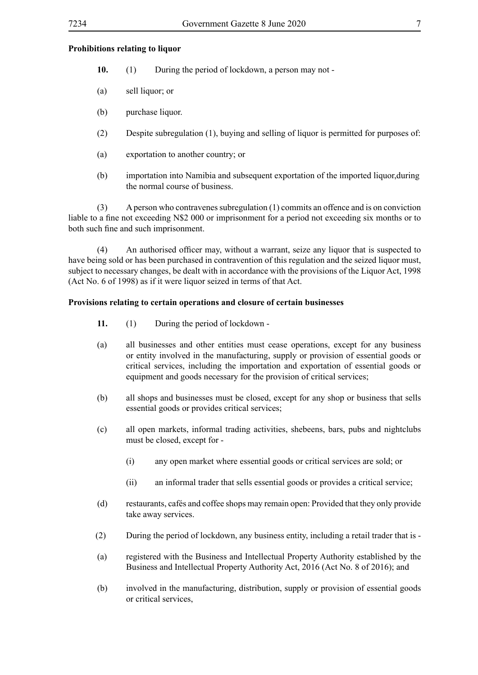## **Prohibitions relating to liquor**

- **10.** (1) During the period of lockdown, a person may not -
- (a) sell liquor; or
- (b) purchase liquor.
- (2) Despite subregulation (1), buying and selling of liquor is permitted for purposes of:
- (a) exportation to another country; or
- (b) importation into Namibia and subsequent exportation of the imported liquor,during the normal course of business.

(3) A person who contravenes subregulation (1) commits an offence and is on conviction liable to a fine not exceeding N\$2 000 or imprisonment for a period not exceeding six months or to both such fine and such imprisonment.

(4) An authorised officer may, without a warrant, seize any liquor that is suspected to have being sold or has been purchased in contravention of this regulation and the seized liquor must, subject to necessary changes, be dealt with in accordance with the provisions of the Liquor Act, 1998 (Act No. 6 of 1998) as if it were liquor seized in terms of that Act.

## **Provisions relating to certain operations and closure of certain businesses**

- **11.** (1) During the period of lockdown -
- (a) all businesses and other entities must cease operations, except for any business or entity involved in the manufacturing, supply or provision of essential goods or critical services, including the importation and exportation of essential goods or equipment and goods necessary for the provision of critical services;
- (b) all shops and businesses must be closed, except for any shop or business that sells essential goods or provides critical services;
- (c) all open markets, informal trading activities, shebeens, bars, pubs and nightclubs must be closed, except for -
	- (i) any open market where essential goods or critical services are sold; or
	- (ii) an informal trader that sells essential goods or provides a critical service;
- (d) restaurants, cafés and coffee shops may remain open: Provided that they only provide take away services.
- (2) During the period of lockdown, any business entity, including a retail trader that is -
- (a) registered with the Business and Intellectual Property Authority established by the Business and Intellectual Property Authority Act, 2016 (Act No. 8 of 2016); and
- (b) involved in the manufacturing, distribution, supply or provision of essential goods or critical services,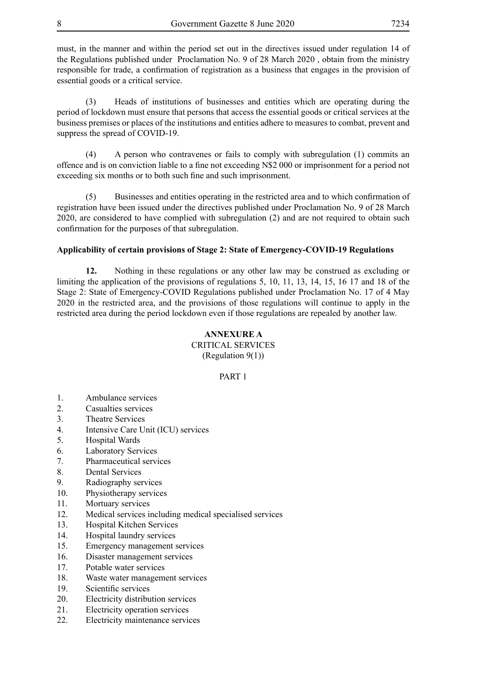must, in the manner and within the period set out in the directives issued under regulation 14 of the Regulations published under Proclamation No. 9 of 28 March 2020 , obtain from the ministry responsible for trade, a confirmation of registration as a business that engages in the provision of essential goods or a critical service.

(3) Heads of institutions of businesses and entities which are operating during the period of lockdown must ensure that persons that access the essential goods or critical services at the business premises or places of the institutions and entities adhere to measures to combat, prevent and suppress the spread of COVID-19.

(4) A person who contravenes or fails to comply with subregulation (1) commits an offence and is on conviction liable to a fine not exceeding N\$2 000 or imprisonment for a period not exceeding six months or to both such fine and such imprisonment.

(5) Businesses and entities operating in the restricted area and to which confirmation of registration have been issued under the directives published under Proclamation No. 9 of 28 March 2020, are considered to have complied with subregulation (2) and are not required to obtain such confirmation for the purposes of that subregulation.

## **Applicability of certain provisions of Stage 2: State of Emergency-COVID-19 Regulations**

**12.** Nothing in these regulations or any other law may be construed as excluding or limiting the application of the provisions of regulations 5, 10, 11, 13, 14, 15, 16 17 and 18 of the Stage 2: State of Emergency-COVID Regulations published under Proclamation No. 17 of 4 May 2020 in the restricted area, and the provisions of those regulations will continue to apply in the restricted area during the period lockdown even if those regulations are repealed by another law.

## **ANNEXURE A**

CRITICAL SERVICES (Regulation 9(1))

## PART 1

- 1. Ambulance services
- 2. Casualties services
- 3. Theatre Services
- 4. Intensive Care Unit (ICU) services
- 5. Hospital Wards
- 6. Laboratory Services
- 7. Pharmaceutical services
- 8. Dental Services
- 9. Radiography services
- 10. Physiotherapy services
- 11. Mortuary services
- 12. Medical services including medical specialised services
- 13. Hospital Kitchen Services
- 14. Hospital laundry services
- 15. Emergency management services
- 16. Disaster management services
- 17. Potable water services
- 18. Waste water management services
- 19. Scientific services
- 20. Electricity distribution services
- 21. Electricity operation services
- 22. Electricity maintenance services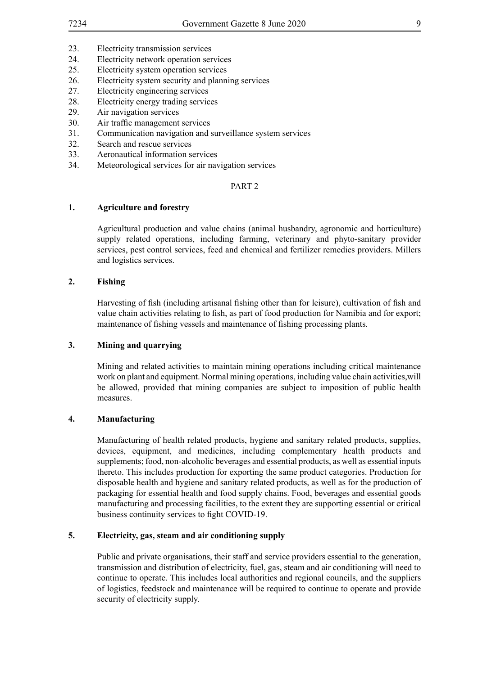- 23. Electricity transmission services
- 24. Electricity network operation services
- 25. Electricity system operation services
- 26. Electricity system security and planning services
- 27. Electricity engineering services
- 28. Electricity energy trading services
- 29. Air navigation services
- 30. Air traffic management services
- 31. Communication navigation and surveillance system services
- 32. Search and rescue services
- 33. Aeronautical information services
- 34. Meteorological services for air navigation services

#### PART 2

## **1. Agriculture and forestry**

Agricultural production and value chains (animal husbandry, agronomic and horticulture) supply related operations, including farming, veterinary and phyto-sanitary provider services, pest control services, feed and chemical and fertilizer remedies providers. Millers and logistics services.

#### **2. Fishing**

Harvesting of fish (including artisanal fishing other than for leisure), cultivation of fish and value chain activities relating to fish, as part of food production for Namibia and for export; maintenance of fishing vessels and maintenance of fishing processing plants.

#### **3. Mining and quarrying**

Mining and related activities to maintain mining operations including critical maintenance work on plant and equipment. Normal mining operations, including value chain activities,will be allowed, provided that mining companies are subject to imposition of public health measures.

#### **4. Manufacturing**

Manufacturing of health related products, hygiene and sanitary related products, supplies, devices, equipment, and medicines, including complementary health products and supplements; food, non-alcoholic beverages and essential products, as well as essential inputs thereto. This includes production for exporting the same product categories. Production for disposable health and hygiene and sanitary related products, as well as for the production of packaging for essential health and food supply chains. Food, beverages and essential goods manufacturing and processing facilities, to the extent they are supporting essential or critical business continuity services to fight COVID-19.

#### **5. Electricity, gas, steam and air conditioning supply**

Public and private organisations, their staff and service providers essential to the generation, transmission and distribution of electricity, fuel, gas, steam and air conditioning will need to continue to operate. This includes local authorities and regional councils, and the suppliers of logistics, feedstock and maintenance will be required to continue to operate and provide security of electricity supply.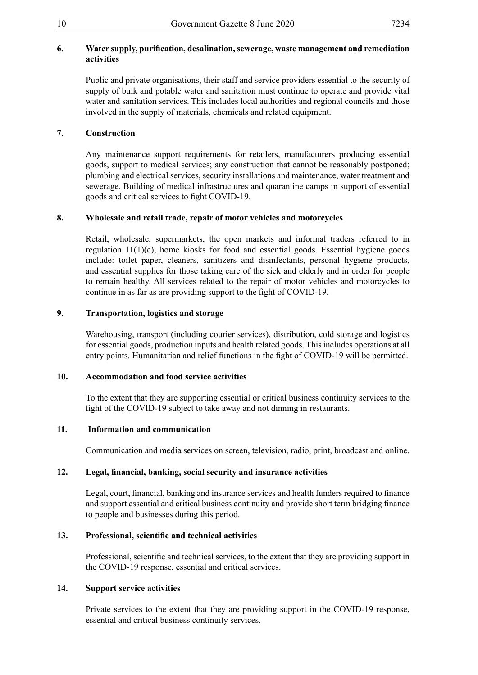## **6. Water supply, purification, desalination, sewerage, waste management and remediation activities**

Public and private organisations, their staff and service providers essential to the security of supply of bulk and potable water and sanitation must continue to operate and provide vital water and sanitation services. This includes local authorities and regional councils and those involved in the supply of materials, chemicals and related equipment.

## **7. Construction**

Any maintenance support requirements for retailers, manufacturers producing essential goods, support to medical services; any construction that cannot be reasonably postponed; plumbing and electrical services, security installations and maintenance, water treatment and sewerage. Building of medical infrastructures and quarantine camps in support of essential goods and critical services to fight COVID-19.

## **8. Wholesale and retail trade, repair of motor vehicles and motorcycles**

Retail, wholesale, supermarkets, the open markets and informal traders referred to in regulation 11(1)(c), home kiosks for food and essential goods. Essential hygiene goods include: toilet paper, cleaners, sanitizers and disinfectants, personal hygiene products, and essential supplies for those taking care of the sick and elderly and in order for people to remain healthy. All services related to the repair of motor vehicles and motorcycles to continue in as far as are providing support to the fight of COVID-19.

## **9. Transportation, logistics and storage**

Warehousing, transport (including courier services), distribution, cold storage and logistics for essential goods, production inputs and health related goods. This includes operations at all entry points. Humanitarian and relief functions in the fight of COVID-19 will be permitted.

## **10. Accommodation and food service activities**

To the extent that they are supporting essential or critical business continuity services to the fight of the COVID-19 subject to take away and not dinning in restaurants.

## **11. Information and communication**

Communication and media services on screen, television, radio, print, broadcast and online.

## **12. Legal, financial, banking, social security and insurance activities**

Legal, court, financial, banking and insurance services and health funders required to finance and support essential and critical business continuity and provide short term bridging finance to people and businesses during this period.

## **13. Professional, scientific and technical activities**

Professional, scientific and technical services, to the extent that they are providing support in the COVID-19 response, essential and critical services.

## **14. Support service activities**

Private services to the extent that they are providing support in the COVID-19 response, essential and critical business continuity services.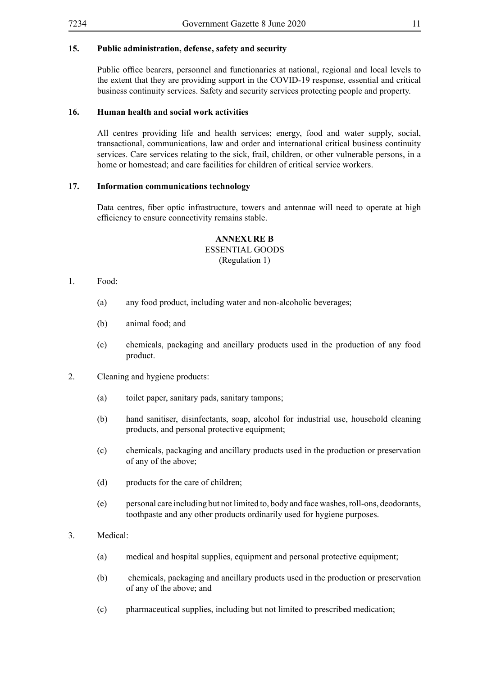## **15. Public administration, defense, safety and security**

Public office bearers, personnel and functionaries at national, regional and local levels to the extent that they are providing support in the COVID-19 response, essential and critical business continuity services. Safety and security services protecting people and property.

## **16. Human health and social work activities**

All centres providing life and health services; energy, food and water supply, social, transactional, communications, law and order and international critical business continuity services. Care services relating to the sick, frail, children, or other vulnerable persons, in a home or homestead; and care facilities for children of critical service workers.

## **17. Information communications technology**

Data centres, fiber optic infrastructure, towers and antennae will need to operate at high efficiency to ensure connectivity remains stable.

## **ANNEXURE B**

## ESSENTIAL GOODS

(Regulation 1)

- 1. Food:
	- (a) any food product, including water and non-alcoholic beverages;
	- (b) animal food; and
	- (c) chemicals, packaging and ancillary products used in the production of any food product.
- 2. Cleaning and hygiene products:
	- (a) toilet paper, sanitary pads, sanitary tampons;
	- (b) hand sanitiser, disinfectants, soap, alcohol for industrial use, household cleaning products, and personal protective equipment;
	- (c) chemicals, packaging and ancillary products used in the production or preservation of any of the above;
	- (d) products for the care of children;
	- (e) personal care including but not limited to, body and face washes, roll-ons, deodorants, toothpaste and any other products ordinarily used for hygiene purposes.

## 3. Medical:

- (a) medical and hospital supplies, equipment and personal protective equipment;
- (b) chemicals, packaging and ancillary products used in the production or preservation of any of the above; and
- (c) pharmaceutical supplies, including but not limited to prescribed medication;